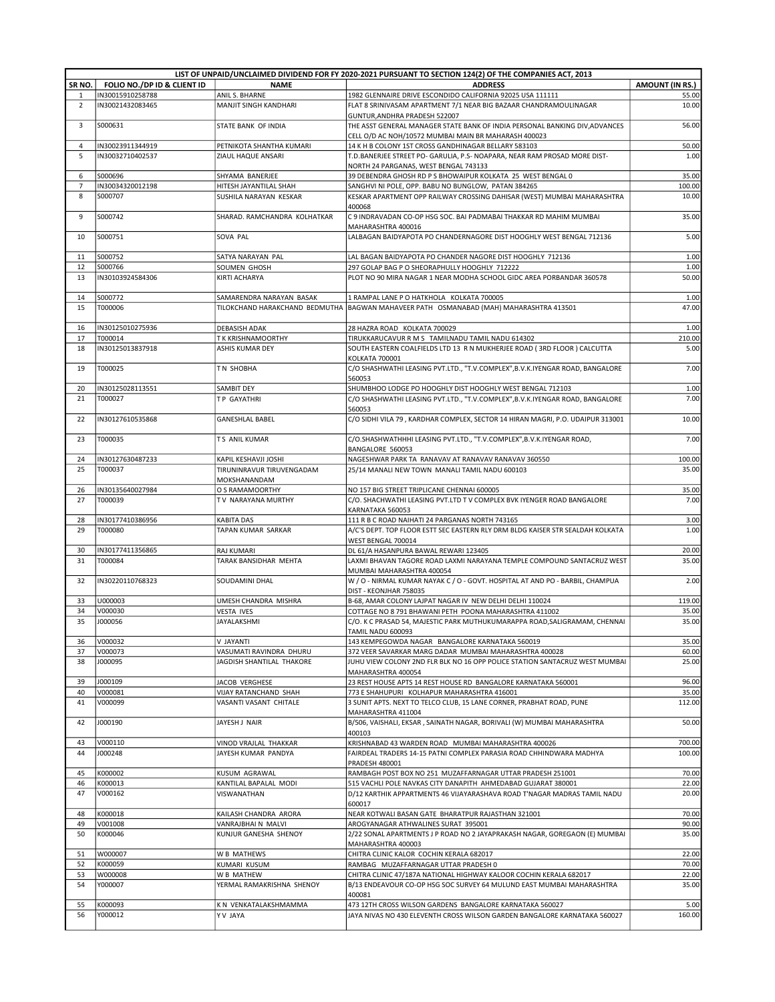|                         | LIST OF UNPAID/UNCLAIMED DIVIDEND FOR FY 2020-2021 PURSUANT TO SECTION 124(2) OF THE COMPANIES ACT, 2013 |                                                      |                                                                                                                                       |                        |  |
|-------------------------|----------------------------------------------------------------------------------------------------------|------------------------------------------------------|---------------------------------------------------------------------------------------------------------------------------------------|------------------------|--|
| SR NO.                  | FOLIO NO./DP ID & CLIENT ID                                                                              | <b>NAME</b>                                          | <b>ADDRESS</b>                                                                                                                        | <b>AMOUNT (IN RS.)</b> |  |
| 1<br>$\overline{2}$     | IN30015910258788<br>IN30021432083465                                                                     | ANIL S. BHARNE<br><b>MANJIT SINGH KANDHARI</b>       | 1982 GLENNAIRE DRIVE ESCONDIDO CALIFORNIA 92025 USA 111111<br>FLAT 8 SRINIVASAM APARTMENT 7/1 NEAR BIG BAZAAR CHANDRAMOULINAGAR       | 55.00<br>10.00         |  |
|                         |                                                                                                          |                                                      | GUNTUR, ANDHRA PRADESH 522007                                                                                                         |                        |  |
| $\overline{\mathbf{3}}$ | S000631                                                                                                  | STATE BANK OF INDIA                                  | THE ASST GENERAL MANAGER STATE BANK OF INDIA PERSONAL BANKING DIV, ADVANCES                                                           | 56.00                  |  |
|                         |                                                                                                          |                                                      | CELL O/D AC NOH/10572 MUMBAI MAIN BR MAHARASH 400023                                                                                  |                        |  |
| $\overline{4}$<br>5     | IN30023911344919<br>IN30032710402537                                                                     | PETNIKOTA SHANTHA KUMARI<br>ZIAUL HAQUE ANSARI       | 14 K H B COLONY 1ST CROSS GANDHINAGAR BELLARY 583103<br>T.D.BANERJEE STREET PO- GARULIA, P.S- NOAPARA, NEAR RAM PROSAD MORE DIST-     | 50.00<br>1.00          |  |
|                         |                                                                                                          |                                                      | NORTH 24 PARGANAS, WEST BENGAL 743133                                                                                                 |                        |  |
| 6                       | S000696                                                                                                  | SHYAMA BANERJEE                                      | 39 DEBENDRA GHOSH RD P S BHOWAIPUR KOLKATA 25 WEST BENGAL 0                                                                           | 35.00                  |  |
| $\overline{7}$          | IN30034320012198                                                                                         | HITESH JAYANTILAL SHAH                               | SANGHVI NI POLE, OPP. BABU NO BUNGLOW, PATAN 384265                                                                                   | 100.00                 |  |
| 8                       | S000707                                                                                                  | SUSHILA NARAYAN KESKAR                               | KESKAR APARTMENT OPP RAILWAY CROSSING DAHISAR (WEST) MUMBAI MAHARASHTRA<br>400068                                                     | 10.00                  |  |
| 9                       | S000742                                                                                                  | SHARAD. RAMCHANDRA KOLHATKAR                         | C 9 INDRAVADAN CO-OP HSG SOC. BAI PADMABAI THAKKAR RD MAHIM MUMBAI<br>MAHARASHTRA 400016                                              | 35.00                  |  |
| 10                      | S000751                                                                                                  | SOVA PAL                                             | LALBAGAN BAIDYAPOTA PO CHANDERNAGORE DIST HOOGHLY WEST BENGAL 712136                                                                  | 5.00                   |  |
| 11                      | S000752                                                                                                  | SATYA NARAYAN PAL                                    | LAL BAGAN BAIDYAPOTA PO CHANDER NAGORE DIST HOOGHLY 712136                                                                            | 1.00                   |  |
| 12                      | S000766                                                                                                  | SOUMEN GHOSH                                         | 297 GOLAP BAG P O SHEORAPHULLY HOOGHLY 712222                                                                                         | 1.00                   |  |
| 13                      | IN30103924584306                                                                                         | KIRTI ACHARYA                                        | PLOT NO 90 MIRA NAGAR 1 NEAR MODHA SCHOOL GIDC AREA PORBANDAR 360578                                                                  | 50.00                  |  |
| 14                      | S000772                                                                                                  | SAMARENDRA NARAYAN BASAK                             | 1 RAMPAL LANE P O HATKHOLA KOLKATA 700005                                                                                             | 1.00                   |  |
| 15                      | T000006                                                                                                  |                                                      | TILOKCHAND HARAKCHAND BEDMUTHA BAGWAN MAHAVEER PATH OSMANABAD (MAH) MAHARASHTRA 413501                                                | 47.00                  |  |
| 16                      | IN30125010275936                                                                                         | <b>DEBASISH ADAK</b>                                 | 28 HAZRA ROAD KOLKATA 700029                                                                                                          | 1.00                   |  |
| 17                      | T000014                                                                                                  | T K KRISHNAMOORTHY                                   | TIRUKKARUCAVUR R M S TAMILNADU TAMIL NADU 614302                                                                                      | 210.00                 |  |
| 18                      | IN30125013837918                                                                                         | ASHIS KUMAR DEY                                      | SOUTH EASTERN COALFIELDS LTD 13 R N MUKHERJEE ROAD (3RD FLOOR) CALCUTTA<br>KOLKATA 700001                                             | 5.00                   |  |
| 19                      | T000025                                                                                                  | TN SHOBHA                                            | C/O SHASHWATHI LEASING PVT.LTD., "T.V.COMPLEX", B.V.K.IYENGAR ROAD, BANGALORE<br>560053                                               | 7.00                   |  |
| 20                      | IN30125028113551                                                                                         | SAMBIT DEY                                           | SHUMBHOO LODGE PO HOOGHLY DIST HOOGHLY WEST BENGAL 712103                                                                             | 1.00                   |  |
| 21                      | T000027                                                                                                  | T P GAYATHRI                                         | C/O SHASHWATHI LEASING PVT.LTD., "T.V.COMPLEX", B.V.K.IYENGAR ROAD, BANGALORE                                                         | 7.00                   |  |
|                         |                                                                                                          |                                                      | 560053                                                                                                                                |                        |  |
| 22                      | IN30127610535868                                                                                         | <b>GANESHLAL BABEL</b>                               | C/O SIDHI VILA 79, KARDHAR COMPLEX, SECTOR 14 HIRAN MAGRI, P.O. UDAIPUR 313001                                                        | 10.00                  |  |
| 23                      | T000035                                                                                                  | T S ANIL KUMAR                                       | C/O.SHASHWATHHHI LEASING PVT.LTD., "T.V.COMPLEX", B.V.K.IYENGAR ROAD,<br>BANGALORE 560053                                             | 7.00                   |  |
| 24<br>25                | IN30127630487233                                                                                         | KAPIL KESHAVJI JOSHI                                 | NAGESHWAR PARK TA RANAVAV AT RANAVAV RANAVAV 360550                                                                                   | 100.00                 |  |
|                         | T000037                                                                                                  | TIRUNINRAVUR TIRUVENGADAM<br>MOKSHANANDAM            | 25/14 MANALI NEW TOWN MANALI TAMIL NADU 600103                                                                                        | 35.00                  |  |
| 26                      | IN30135640027984                                                                                         | O S RAMAMOORTHY                                      | NO 157 BIG STREET TRIPLICANE CHENNAI 600005                                                                                           | 35.00                  |  |
| 27                      | T000039                                                                                                  | TV NARAYANA MURTHY                                   | C/O. SHACHWATHI LEASING PVT.LTD TV COMPLEX BVK IYENGER ROAD BANGALORE<br>KARNATAKA 560053                                             | 7.00                   |  |
| 28                      | IN30177410386956                                                                                         | <b>KABITA DAS</b>                                    | 111 R B C ROAD NAIHATI 24 PARGANAS NORTH 743165                                                                                       | 3.00                   |  |
| 29                      | T000080                                                                                                  | TAPAN KUMAR SARKAR                                   | A/C'S DEPT. TOP FLOOR ESTT SEC EASTERN RLY DRM BLDG KAISER STR SEALDAH KOLKATA                                                        | 1.00                   |  |
|                         |                                                                                                          |                                                      | WEST BENGAL 700014                                                                                                                    |                        |  |
| 30<br>31                | IN30177411356865<br>T000084                                                                              | <b>RAJ KUMARI</b><br>TARAK BANSIDHAR MEHTA           | DL 61/A HASANPURA BAWAL REWARI 123405<br>LAXMI BHAVAN TAGORE ROAD LAXMI NARAYANA TEMPLE COMPOUND SANTACRUZ WEST                       | 20.00<br>35.00         |  |
|                         |                                                                                                          |                                                      | MUMBAI MAHARASHTRA 400054                                                                                                             |                        |  |
| 32                      | IN30220110768323                                                                                         | SOUDAMINI DHAL                                       | W / O - NIRMAL KUMAR NAYAK C / O - GOVT. HOSPITAL AT AND PO - BARBIL, CHAMPUA<br>DIST - KEONJHAR 758035                               | 2.00                   |  |
| 33                      | U000003                                                                                                  | UMESH CHANDRA MISHRA                                 | B-68, AMAR COLONY LAJPAT NAGAR IV NEW DELHI DELHI 110024                                                                              | 119.00                 |  |
| 34                      | V000030                                                                                                  | <b>VESTA IVES</b>                                    | COTTAGE NO 8 791 BHAWANI PETH POONA MAHARASHTRA 411002                                                                                | 35.00                  |  |
| 35                      | J000056                                                                                                  | JAYALAKSHMI                                          | C/O. K C PRASAD 54, MAJESTIC PARK MUTHUKUMARAPPA ROAD, SALIGRAMAM, CHENNAI<br>TAMIL NADU 600093                                       | 35.00                  |  |
| 36                      | V000032                                                                                                  | V JAYANTI                                            | 143 KEMPEGOWDA NAGAR BANGALORE KARNATAKA 560019                                                                                       | 35.00                  |  |
| 37<br>38                | V000073<br>J000095                                                                                       | VASUMATI RAVINDRA DHURU<br>JAGDISH SHANTILAL THAKORE | 372 VEER SAVARKAR MARG DADAR MUMBAI MAHARASHTRA 400028<br>JUHU VIEW COLONY 2ND FLR BLK NO 16 OPP POLICE STATION SANTACRUZ WEST MUMBAI | 60.00<br>25.00         |  |
|                         |                                                                                                          |                                                      | MAHARASHTRA 400054                                                                                                                    |                        |  |
| 39                      | J000109                                                                                                  | JACOB VERGHESE                                       | 23 REST HOUSE APTS 14 REST HOUSE RD BANGALORE KARNATAKA 560001                                                                        | 96.00                  |  |
| 40                      | V000081                                                                                                  | VIJAY RATANCHAND SHAH                                | 773 E SHAHUPURI KOLHAPUR MAHARASHTRA 416001                                                                                           | 35.00                  |  |
| 41                      | V000099                                                                                                  | VASANTI VASANT CHITALE                               | 3 SUNIT APTS. NEXT TO TELCO CLUB, 15 LANE CORNER, PRABHAT ROAD, PUNE<br>MAHARASHTRA 411004                                            | 112.00                 |  |
| 42                      | J000190                                                                                                  | JAYESH J NAIR                                        | B/506, VAISHALI, EKSAR, SAINATH NAGAR, BORIVALI (W) MUMBAI MAHARASHTRA<br>400103                                                      | 50.00                  |  |
| 43                      | V000110                                                                                                  | VINOD VRAJLAL THAKKAR                                | KRISHNABAD 43 WARDEN ROAD MUMBAI MAHARASHTRA 400026                                                                                   | 700.00                 |  |
| 44                      | J000248                                                                                                  | JAYESH KUMAR PANDYA                                  | FAIRDEAL TRADERS 14-15 PATNI COMPLEX PARASIA ROAD CHHINDWARA MADHYA<br>PRADESH 480001                                                 | 100.00                 |  |
| 45                      | K000002                                                                                                  | KUSUM AGRAWAL                                        | RAMBAGH POST BOX NO 251 MUZAFFARNAGAR UTTAR PRADESH 251001                                                                            | 70.00                  |  |
| 46                      | K000013                                                                                                  | KANTILAL BAPALAL MODI                                | 515 VACHLI POLE NAVKAS CITY DANAPITH AHMEDABAD GUJARAT 380001                                                                         | 22.00                  |  |
| 47                      | V000162                                                                                                  | VISWANATHAN                                          | D/12 KARTHIK APPARTMENTS 46 VIJAYARASHAVA ROAD T'NAGAR MADRAS TAMIL NADU<br>600017                                                    | 20.00                  |  |
| 48                      | K000018                                                                                                  | KAILASH CHANDRA ARORA                                | NEAR KOTWALI BASAN GATE BHARATPUR RAJASTHAN 321001                                                                                    | 70.00                  |  |
| 49<br>50                | V001008<br>K000046                                                                                       | VANRAJBHAI N MALVI<br>KUNJUR GANESHA SHENOY          | AROGYANAGAR ATHWALINES SURAT 395001<br>2/22 SONAL APARTMENTS J P ROAD NO 2 JAYAPRAKASH NAGAR, GOREGAON (E) MUMBAI                     | 90.00<br>35.00         |  |
| 51                      | W000007                                                                                                  | W B MATHEWS                                          | MAHARASHTRA 400003<br>CHITRA CLINIC KALOR COCHIN KERALA 682017                                                                        | 22.00                  |  |
| 52                      | K000059                                                                                                  | KUMARI KUSUM                                         | RAMBAG MUZAFFARNAGAR UTTAR PRADESH 0                                                                                                  | 70.00                  |  |
| 53                      | W000008                                                                                                  | W B MATHEW                                           | CHITRA CLINIC 47/187A NATIONAL HIGHWAY KALOOR COCHIN KERALA 682017                                                                    | 22.00                  |  |
| 54                      | Y000007                                                                                                  | YERMAL RAMAKRISHNA SHENOY                            | B/13 ENDEAVOUR CO-OP HSG SOC SURVEY 64 MULUND EAST MUMBAI MAHARASHTRA<br>400081                                                       | 35.00                  |  |
| 55                      | K000093                                                                                                  | K N VENKATALAKSHMAMMA                                | 473 12TH CROSS WILSON GARDENS BANGALORE KARNATAKA 560027                                                                              | 5.00                   |  |
| 56                      | Y000012                                                                                                  | Y V JAYA                                             | JAYA NIVAS NO 430 ELEVENTH CROSS WILSON GARDEN BANGALORE KARNATAKA 560027                                                             | 160.00                 |  |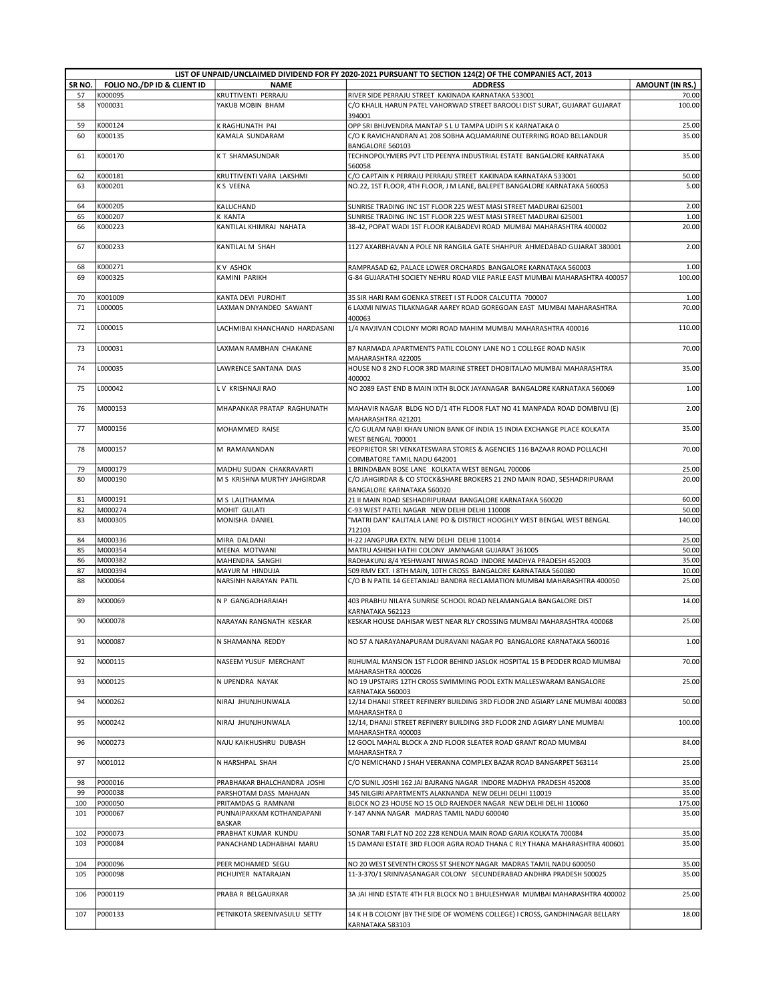|        |                             |                                            | LIST OF UNPAID/UNCLAIMED DIVIDEND FOR FY 2020-2021 PURSUANT TO SECTION 124(2) OF THE COMPANIES ACT, 2013 |                        |
|--------|-----------------------------|--------------------------------------------|----------------------------------------------------------------------------------------------------------|------------------------|
| SR NO. | FOLIO NO./DP ID & CLIENT ID | <b>NAME</b>                                | <b>ADDRESS</b>                                                                                           | <b>AMOUNT (IN RS.)</b> |
| 57     | K000095                     | KRUTTIVENTI PERRAJU                        | RIVER SIDE PERRAJU STREET KAKINADA KARNATAKA 533001                                                      | 70.00                  |
| 58     | Y000031                     | YAKUB MOBIN BHAM                           | C/O KHALIL HARUN PATEL VAHORWAD STREET BAROOLI DIST SURAT, GUJARAT GUJARAT<br>394001                     | 100.00                 |
| 59     | K000124                     | K RAGHUNATH PAI                            | OPP SRI BHUVENDRA MANTAP S L U TAMPA UDIPI S K KARNATAKA 0                                               | 25.00                  |
| 60     | K000135                     | KAMALA SUNDARAM                            | C/O K RAVICHANDRAN A1 208 SOBHA AQUAMARINE OUTERRING ROAD BELLANDUR                                      | 35.00                  |
|        |                             |                                            | BANGALORE 560103                                                                                         |                        |
| 61     | K000170                     | KT SHAMASUNDAR                             | TECHNOPOLYMERS PVT LTD PEENYA INDUSTRIAL ESTATE BANGALORE KARNATAKA<br>560058                            | 35.00                  |
| 62     | K000181                     | KRUTTIVENTI VARA LAKSHMI                   | C/O CAPTAIN K PERRAJU PERRAJU STREET KAKINADA KARNATAKA 533001                                           | 50.00                  |
| 63     | K000201                     | K S VEENA                                  | NO.22, 1ST FLOOR, 4TH FLOOR, J M LANE, BALEPET BANGALORE KARNATAKA 560053                                | 5.00                   |
|        |                             |                                            |                                                                                                          |                        |
| 64     | K000205                     | KALUCHAND                                  | SUNRISE TRADING INC 1ST FLOOR 225 WEST MASI STREET MADURAI 625001                                        | 2.00                   |
| 65     | K000207                     | K KANTA                                    | SUNRISE TRADING INC 1ST FLOOR 225 WEST MASI STREET MADURAI 625001                                        | 1.00                   |
| 66     | K000223                     | KANTILAL KHIMRAJ NAHATA                    | 38-42, POPAT WADI 1ST FLOOR KALBADEVI ROAD MUMBAI MAHARASHTRA 400002                                     | 20.00                  |
| 67     | K000233                     | KANTILAL M SHAH                            | 1127 AXARBHAVAN A POLE NR RANGILA GATE SHAHPUR AHMEDABAD GUJARAT 380001                                  | 2.00                   |
| 68     | K000271                     | K V ASHOK                                  | RAMPRASAD 62, PALACE LOWER ORCHARDS BANGALORE KARNATAKA 560003                                           | 1.00                   |
| 69     | K000325                     | KAMINI PARIKH                              | G-84 GUJARATHI SOCIETY NEHRU ROAD VILE PARLE EAST MUMBAI MAHARASHTRA 400057                              | 100.00                 |
|        |                             |                                            |                                                                                                          |                        |
| 70     | K001009                     | KANTA DEVI PUROHIT                         | 35 SIR HARI RAM GOENKA STREET I ST FLOOR CALCUTTA 700007                                                 | 1.00                   |
| 71     | L000005                     | LAXMAN DNYANDEO SAWANT                     | 6 LAXMI NIWAS TILAKNAGAR AAREY ROAD GOREGOAN EAST MUMBAI MAHARASHTRA                                     | 70.00                  |
|        |                             |                                            | 400063                                                                                                   |                        |
| 72     | L000015                     | LACHMIBAI KHANCHAND HARDASANI              | 1/4 NAVJIVAN COLONY MORI ROAD MAHIM MUMBAI MAHARASHTRA 400016                                            | 110.00                 |
| 73     | L000031                     | LAXMAN RAMBHAN CHAKANE                     | B7 NARMADA APARTMENTS PATIL COLONY LANE NO 1 COLLEGE ROAD NASIK                                          | 70.00                  |
|        |                             |                                            | MAHARASHTRA 422005                                                                                       |                        |
| 74     | L000035                     | LAWRENCE SANTANA DIAS                      | HOUSE NO 8 2ND FLOOR 3RD MARINE STREET DHOBITALAO MUMBAI MAHARASHTRA<br>400002                           | 35.00                  |
| 75     | L000042                     | LV KRISHNAJI RAO                           | NO 2089 EAST END B MAIN IXTH BLOCK JAYANAGAR BANGALORE KARNATAKA 560069                                  | 1.00                   |
| 76     | M000153                     | MHAPANKAR PRATAP RAGHUNATH                 | MAHAVIR NAGAR BLDG NO D/1 4TH FLOOR FLAT NO 41 MANPADA ROAD DOMBIVLI (E)                                 | 2.00                   |
| 77     | M000156                     | MOHAMMED RAISE                             | MAHARASHTRA 421201<br>C/O GULAM NABI KHAN UNION BANK OF INDIA 15 INDIA EXCHANGE PLACE KOLKATA            | 35.00                  |
| 78     | M000157                     | M RAMANANDAN                               | WEST BENGAL 700001<br>PEOPRIETOR SRI VENKATESWARA STORES & AGENCIES 116 BAZAAR ROAD POLLACHI             | 70.00                  |
|        |                             |                                            | COIMBATORE TAMIL NADU 642001                                                                             |                        |
| 79     | M000179                     | MADHU SUDAN CHAKRAVARTI                    | 1 BRINDABAN BOSE LANE KOLKATA WEST BENGAL 700006                                                         | 25.00                  |
| 80     | M000190                     | M S KRISHNA MURTHY JAHGIRDAR               | C/O JAHGIRDAR & CO STOCK&SHARE BROKERS 21 2ND MAIN ROAD, SESHADRIPURAM                                   | 20.00                  |
| 81     | M000191                     | M S LALITHAMMA                             | BANGALORE KARNATAKA 560020<br>21 II MAIN ROAD SESHADRIPURAM BANGALORE KARNATAKA 560020                   | 60.00                  |
| 82     | M000274                     | MOHIT GULATI                               | C-93 WEST PATEL NAGAR NEW DELHI DELHI 110008                                                             | 50.00                  |
| 83     | M000305                     | MONISHA DANIEL                             | "MATRI DAN" KALITALA LANE PO & DISTRICT HOOGHLY WEST BENGAL WEST BENGAL<br>712103                        | 140.00                 |
| 84     | M000336                     | MIRA DALDANI                               | H-22 JANGPURA EXTN. NEW DELHI DELHI 110014                                                               | 25.00                  |
| 85     | M000354                     | MEENA MOTWANI                              | MATRU ASHISH HATHI COLONY JAMNAGAR GUJARAT 361005                                                        | 50.00                  |
| 86     | M000382                     | MAHENDRA SANGHI                            | RADHAKUNJ 8/4 YESHWANT NIWAS ROAD INDORE MADHYA PRADESH 452003                                           | 35.00                  |
| 87     | M000394                     | MAYUR M HINDUJA                            | 509 RMV EXT. I 8TH MAIN, 10TH CROSS BANGALORE KARNATAKA 560080                                           | 10.00                  |
| 88     | N000064                     | NARSINH NARAYAN PATIL                      | C/O B N PATIL 14 GEETANJALI BANDRA RECLAMATION MUMBAI MAHARASHTRA 400050                                 | 25.00                  |
|        |                             |                                            |                                                                                                          |                        |
| 89     | N000069                     | N P GANGADHARAIAH                          | 403 PRABHU NILAYA SUNRISE SCHOOL ROAD NELAMANGALA BANGALORE DIST<br>KARNATAKA 562123                     | 14.00                  |
| 90     | N000078                     | NARAYAN RANGNATH KESKAR                    | KESKAR HOUSE DAHISAR WEST NEAR RLY CROSSING MUMBAI MAHARASHTRA 400068                                    | 25.00                  |
| 91     | N000087                     | N SHAMANNA REDDY                           | NO 57 A NARAYANAPURAM DURAVANI NAGAR PO BANGALORE KARNATAKA 560016                                       | 1.00                   |
| 92     | N000115                     | NASEEM YUSUF MERCHANT                      | RIJHUMAL MANSION 1ST FLOOR BEHIND JASLOK HOSPITAL 15 B PEDDER ROAD MUMBAI                                | 70.00                  |
|        |                             |                                            | MAHARASHTRA 400026                                                                                       |                        |
| 93     | N000125                     | N UPENDRA NAYAK                            | NO 19 UPSTAIRS 12TH CROSS SWIMMING POOL EXTN MALLESWARAM BANGALORE<br>KARNATAKA 560003                   | 25.00                  |
| 94     | N000262                     | NIRAJ JHUNJHUNWALA                         | 12/14 DHANJI STREET REFINERY BUILDING 3RD FLOOR 2ND AGIARY LANE MUMBAI 400083<br>MAHARASHTRA 0           | 50.00                  |
| 95     | N000242                     | NIRAJ JHUNJHUNWALA                         | 12/14, DHANJI STREET REFINERY BUILDING 3RD FLOOR 2ND AGIARY LANE MUMBAI<br>MAHARASHTRA 400003            | 100.00                 |
| 96     | N000273                     | NAJU KAIKHUSHRU DUBASH                     | 12 GOOL MAHAL BLOCK A 2ND FLOOR SLEATER ROAD GRANT ROAD MUMBAI                                           | 84.00                  |
| 97     | N001012                     | N HARSHPAL SHAH                            | <b>MAHARASHTRA 7</b><br>C/O NEMICHAND J SHAH VEERANNA COMPLEX BAZAR ROAD BANGARPET 563114                | 25.00                  |
| 98     | P000016                     | PRABHAKAR BHALCHANDRA JOSHI                | C/O SUNIL JOSHI 162 JAI BAJRANG NAGAR INDORE MADHYA PRADESH 452008                                       | 35.00                  |
| 99     | P000038                     | PARSHOTAM DASS MAHAJAN                     | 345 NILGIRI APARTMENTS ALAKNANDA NEW DELHI DELHI 110019                                                  | 35.00                  |
| 100    | P000050                     | PRITAMDAS G RAMNANI                        | BLOCK NO 23 HOUSE NO 15 OLD RAJENDER NAGAR NEW DELHI DELHI 110060                                        | 175.00                 |
| 101    | P000067                     | PUNNAIPAKKAM KOTHANDAPANI<br><b>BASKAR</b> | Y-147 ANNA NAGAR MADRAS TAMIL NADU 600040                                                                | 35.00                  |
| 102    | P000073                     | PRABHAT KUMAR KUNDU                        | SONAR TARI FLAT NO 202 228 KENDUA MAIN ROAD GARIA KOLKATA 700084                                         | 35.00                  |
| 103    | P000084                     | PANACHAND LADHABHAI MARU                   | 15 DAMANI ESTATE 3RD FLOOR AGRA ROAD THANA C RLY THANA MAHARASHTRA 400601                                | 35.00                  |
| 104    | P000096                     | PEER MOHAMED SEGU                          | NO 20 WEST SEVENTH CROSS ST SHENOY NAGAR MADRAS TAMIL NADU 600050                                        | 35.00                  |
| 105    | P000098                     | PICHUIYER NATARAJAN                        | 11-3-370/1 SRINIVASANAGAR COLONY SECUNDERABAD ANDHRA PRADESH 500025                                      | 35.00                  |
|        |                             |                                            |                                                                                                          |                        |
| 106    | P000119                     | PRABA R BELGAURKAR                         | 3A JAI HIND ESTATE 4TH FLR BLOCK NO 1 BHULESHWAR MUMBAI MAHARASHTRA 400002                               | 25.00                  |
| 107    | P000133                     | PETNIKOTA SREENIVASULU SETTY               | 14 K H B COLONY (BY THE SIDE OF WOMENS COLLEGE) I CROSS, GANDHINAGAR BELLARY                             | 18.00                  |
|        |                             |                                            | KARNATAKA 583103                                                                                         |                        |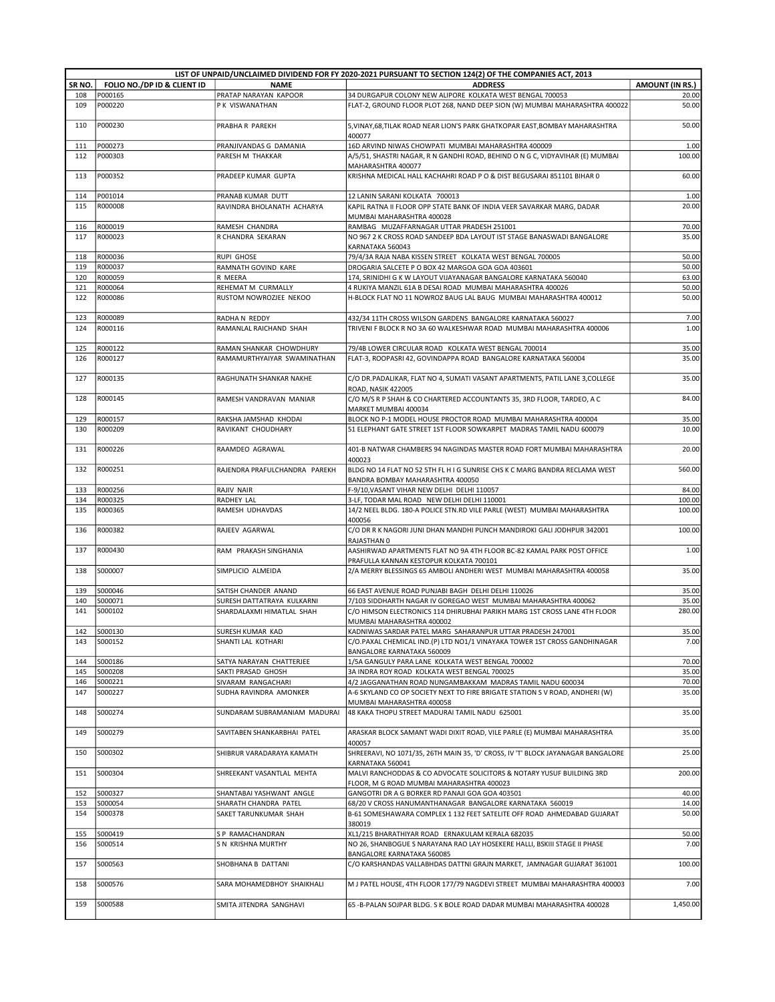|            |                             |                                                       | LIST OF UNPAID/UNCLAIMED DIVIDEND FOR FY 2020-2021 PURSUANT TO SECTION 124(2) OF THE COMPANIES ACT, 2013                                              |                        |
|------------|-----------------------------|-------------------------------------------------------|-------------------------------------------------------------------------------------------------------------------------------------------------------|------------------------|
| SR NO.     | FOLIO NO./DP ID & CLIENT ID | <b>NAME</b>                                           | <b>ADDRESS</b>                                                                                                                                        | <b>AMOUNT (IN RS.)</b> |
| 108        | P000165                     | PRATAP NARAYAN KAPOOR                                 | 34 DURGAPUR COLONY NEW ALIPORE KOLKATA WEST BENGAL 700053                                                                                             | 20.00                  |
| 109        | P000220                     | P K VISWANATHAN                                       | FLAT-2, GROUND FLOOR PLOT 268, NAND DEEP SION (W) MUMBAI MAHARASHTRA 400022                                                                           | 50.00                  |
| 110        | P000230                     | PRABHA R PAREKH                                       | 5, VINAY, 68, TILAK ROAD NEAR LION'S PARK GHATKOPAR EAST, BOMBAY MAHARASHTRA<br>400077                                                                | 50.00                  |
| 111        | P000273                     | PRANJIVANDAS G DAMANIA                                | 16D ARVIND NIWAS CHOWPATI MUMBAI MAHARASHTRA 400009                                                                                                   | 1.00                   |
| 112        | P000303                     | PARESH M THAKKAR                                      | A/5/51, SHASTRI NAGAR, R N GANDHI ROAD, BEHIND O N G C, VIDYAVIHAR (E) MUMBAI<br>MAHARASHTRA 400077                                                   | 100.00                 |
| 113        | P000352                     | PRADEEP KUMAR GUPTA                                   | KRISHNA MEDICAL HALL KACHAHRI ROAD P O & DIST BEGUSARAI 851101 BIHAR 0                                                                                | 60.00                  |
| 114        | P001014                     | PRANAB KUMAR DUTT                                     | 12 LANIN SARANI KOLKATA 700013                                                                                                                        | 1.00                   |
| 115        | R000008                     | RAVINDRA BHOLANATH ACHARYA                            | KAPIL RATNA II FLOOR OPP STATE BANK OF INDIA VEER SAVARKAR MARG, DADAR                                                                                | 20.00                  |
|            |                             |                                                       | MUMBAI MAHARASHTRA 400028                                                                                                                             |                        |
| 116        | R000019                     | RAMESH CHANDRA                                        | RAMBAG MUZAFFARNAGAR UTTAR PRADESH 251001                                                                                                             | 70.00                  |
| 117        | R000023                     | R CHANDRA SEKARAN                                     | NO 967 2 K CROSS ROAD SANDEEP BDA LAYOUT IST STAGE BANASWADI BANGALORE<br>KARNATAKA 560043                                                            | 35.00                  |
| 118        | R000036                     | <b>RUPI GHOSE</b>                                     | 79/4/3A RAJA NABA KISSEN STREET KOLKATA WEST BENGAL 700005                                                                                            | 50.00                  |
| 119        | R000037                     | RAMNATH GOVIND KARE                                   | DROGARIA SALCETE P O BOX 42 MARGOA GOA GOA 403601                                                                                                     | 50.00                  |
| 120        | R000059                     | R MEERA                                               | 174, SRINIDHI G K W LAYOUT VIJAYANAGAR BANGALORE KARNATAKA 560040                                                                                     | 63.00                  |
| 121        | R000064                     | REHEMAT M CURMALLY                                    | 4 RUKIYA MANZIL 61A B DESAI ROAD MUMBAI MAHARASHTRA 400026                                                                                            | 50.00                  |
| 122        | R000086                     | RUSTOM NOWROZJEE NEKOO                                | H-BLOCK FLAT NO 11 NOWROZ BAUG LAL BAUG MUMBAI MAHARASHTRA 400012                                                                                     | 50.00                  |
| 123        | R000089                     | RADHA N REDDY                                         | 432/34 11TH CROSS WILSON GARDENS BANGALORE KARNATAKA 560027                                                                                           | 7.00                   |
| 124        | R000116                     | RAMANLAL RAICHAND SHAH                                | TRIVENI F BLOCK R NO 3A 60 WALKESHWAR ROAD MUMBAI MAHARASHTRA 400006                                                                                  | 1.00                   |
| 125        | R000122                     | RAMAN SHANKAR CHOWDHURY                               | 79/4B LOWER CIRCULAR ROAD KOLKATA WEST BENGAL 700014                                                                                                  | 35.00                  |
| 126        | R000127                     | RAMAMURTHYAIYAR SWAMINATHAN                           | FLAT-3, ROOPASRI 42, GOVINDAPPA ROAD BANGALORE KARNATAKA 560004                                                                                       | 35.00                  |
| 127        | R000135                     | RAGHUNATH SHANKAR NAKHE                               | C/O DR.PADALIKAR, FLAT NO 4, SUMATI VASANT APARTMENTS, PATIL LANE 3, COLLEGE<br>ROAD, NASIK 422005                                                    | 35.00                  |
| 128        | R000145                     | RAMESH VANDRAVAN MANIAR                               | C/O M/S R P SHAH & CO CHARTERED ACCOUNTANTS 35, 3RD FLOOR, TARDEO, A C<br>MARKET MUMBAI 400034                                                        | 84.00                  |
| 129        | R000157                     | RAKSHA JAMSHAD KHODAI                                 | BLOCK NO P-1 MODEL HOUSE PROCTOR ROAD MUMBAI MAHARASHTRA 400004                                                                                       | 35.00                  |
| 130        | R000209                     | RAVIKANT CHOUDHARY                                    | 51 ELEPHANT GATE STREET 1ST FLOOR SOWKARPET MADRAS TAMIL NADU 600079                                                                                  | 10.00                  |
| 131        | R000226                     | RAAMDEO AGRAWAL                                       | 401-B NATWAR CHAMBERS 94 NAGINDAS MASTER ROAD FORT MUMBAI MAHARASHTRA<br>400023                                                                       | 20.00                  |
| 132        | R000251                     | RAJENDRA PRAFULCHANDRA PAREKH                         | BLDG NO 14 FLAT NO 52 5TH FL H I G SUNRISE CHS K C MARG BANDRA RECLAMA WEST<br>BANDRA BOMBAY MAHARASHTRA 400050                                       | 560.00                 |
| 133        | R000256                     | RAJIV NAIR                                            | F-9/10, VASANT VIHAR NEW DELHI DELHI 110057                                                                                                           | 84.00                  |
| 134        | R000325                     | RADHEY LAL                                            | 3-LF, TODAR MAL ROAD NEW DELHI DELHI 110001                                                                                                           | 100.00                 |
| 135        | R000365                     | RAMESH UDHAVDAS                                       | 14/2 NEEL BLDG. 180-A POLICE STN.RD VILE PARLE (WEST) MUMBAI MAHARASHTRA                                                                              | 100.00                 |
|            |                             |                                                       | 400056<br>C/O DR R K NAGORI JUNI DHAN MANDHI PUNCH MANDIROKI GALI JODHPUR 342001                                                                      |                        |
| 136        | R000382                     | RAJEEV AGARWAL                                        |                                                                                                                                                       | 100.00                 |
| 137        | R000430                     | RAM PRAKASH SINGHANIA                                 | RAJASTHAN 0<br>AASHIRWAD APARTMENTS FLAT NO 9A 4TH FLOOR BC-82 KAMAL PARK POST OFFICE                                                                 | 1.00                   |
| 138        | S000007                     | SIMPLICIO ALMEIDA                                     | PRAFULLA KANNAN KESTOPUR KOLKATA 700101<br>2/A MERRY BLESSINGS 65 AMBOLI ANDHERI WEST MUMBAI MAHARASHTRA 400058                                       | 35.00                  |
|            |                             |                                                       |                                                                                                                                                       |                        |
| 139        | S000046                     | SATISH CHANDER ANAND                                  | 66 EAST AVENUE ROAD PUNJABI BAGH DELHI DELHI 110026                                                                                                   | 35.00                  |
| 140        | S000071                     | SURESH DATTATRAYA KULKARNI                            | 7/103 SIDDHARTH NAGAR IV GOREGAO WEST MUMBAI MAHARASHTRA 400062                                                                                       | 35.00                  |
| 141        | S000102                     | SHARDALAXMI HIMATLAL SHAH                             | C/O HIMSON ELECTRONICS 114 DHIRUBHAI PARIKH MARG 1ST CROSS LANE 4TH FLOOR<br>MUMBAI MAHARASHTRA 400002                                                | 280.00                 |
| 142        | S000130                     | SURESH KUMAR KAD                                      | KADNIWAS SARDAR PATEL MARG SAHARANPUR UTTAR PRADESH 247001                                                                                            | 35.00                  |
| 143        | S000152                     | SHANTI LAL KOTHARI                                    | C/O.PAXAL CHEMICAL IND.(P) LTD NO1/1 VINAYAKA TOWER 1ST CROSS GANDHINAGAR                                                                             | 7.00                   |
|            |                             |                                                       | BANGALORE KARNATAKA 560009                                                                                                                            |                        |
| 144<br>145 | S000186                     | SATYA NARAYAN CHATTERJEE                              | 1/5A GANGULY PARA LANE KOLKATA WEST BENGAL 700002                                                                                                     | 70.00                  |
| 146        | S000208<br>S000221          | SAKTI PRASAD GHOSH<br>SIVARAM RANGACHARI              | 3A INDRA ROY ROAD KOLKATA WEST BENGAL 700025<br>4/2 JAGGANATHAN ROAD NUNGAMBAKKAM MADRAS TAMIL NADU 600034                                            | 35.00<br>70.00         |
| 147        | S000227                     | SUDHA RAVINDRA AMONKER                                | A-6 SKYLAND CO OP SOCIETY NEXT TO FIRE BRIGATE STATION S V ROAD, ANDHERI (W)                                                                          | 35.00                  |
| 148        | S000274                     | SUNDARAM SUBRAMANIAM MADURAI                          | MUMBAI MAHARASHTRA 400058<br>48 KAKA THOPU STREET MADURAI TAMIL NADU 625001                                                                           | 35.00                  |
| 149        | S000279                     | SAVITABEN SHANKARBHAI PATEL                           | ARASKAR BLOCK SAMANT WADI DIXIT ROAD, VILE PARLE (E) MUMBAI MAHARASHTRA                                                                               | 35.00                  |
| 150        | S000302                     | SHIBRUR VARADARAYA KAMATH                             | 400057<br>SHREERAVI, NO 1071/35, 26TH MAIN 35, 'D' CROSS, IV 'T' BLOCK JAYANAGAR BANGALORE                                                            | 25.00                  |
| 151        | S000304                     | SHREEKANT VASANTLAL MEHTA                             | KARNATAKA 560041<br>MALVI RANCHODDAS & CO ADVOCATE SOLICITORS & NOTARY YUSUF BUILDING 3RD                                                             | 200.00                 |
|            |                             |                                                       | FLOOR, M G ROAD MUMBAI MAHARASHTRA 400023                                                                                                             |                        |
| 152<br>153 | S000327<br>S000054          | SHANTABAI YASHWANT ANGLE                              | GANGOTRI DR A G BORKER RD PANAJI GOA GOA 403501                                                                                                       | 40.00<br>14.00         |
| 154        | S000378                     | SHARATH CHANDRA PATEL<br>SAKET TARUNKUMAR SHAH        | 68/20 V CROSS HANUMANTHANAGAR BANGALORE KARNATAKA 560019<br>B-61 SOMESHAWARA COMPLEX 1 132 FEET SATELITE OFF ROAD AHMEDABAD GUJARAT                   | 50.00                  |
|            | S000419                     | S P RAMACHANDRAN                                      | 380019                                                                                                                                                |                        |
| 155<br>156 | S000514                     | S N KRISHNA MURTHY                                    | XL1/215 BHARATHIYAR ROAD ERNAKULAM KERALA 682035<br>NO 26, SHANBOGUE S NARAYANA RAO LAY HOSEKERE HALLI, BSKIII STAGE II PHASE                         | 50.00<br>7.00          |
|            |                             |                                                       | BANGALORE KARNATAKA 560085                                                                                                                            |                        |
| 157        | S000563                     | SHOBHANA B DATTANI                                    | C/O KARSHANDAS VALLABHDAS DATTNI GRAJN MARKET, JAMNAGAR GUJARAT 361001                                                                                | 100.00                 |
| 158<br>159 | S000576<br>S000588          | SARA MOHAMEDBHOY SHAIKHALI<br>SMITA JITENDRA SANGHAVI | M J PATEL HOUSE, 4TH FLOOR 177/79 NAGDEVI STREET MUMBAI MAHARASHTRA 400003<br>65 - B-PALAN SOJPAR BLDG. S K BOLE ROAD DADAR MUMBAI MAHARASHTRA 400028 | 7.00<br>1,450.00       |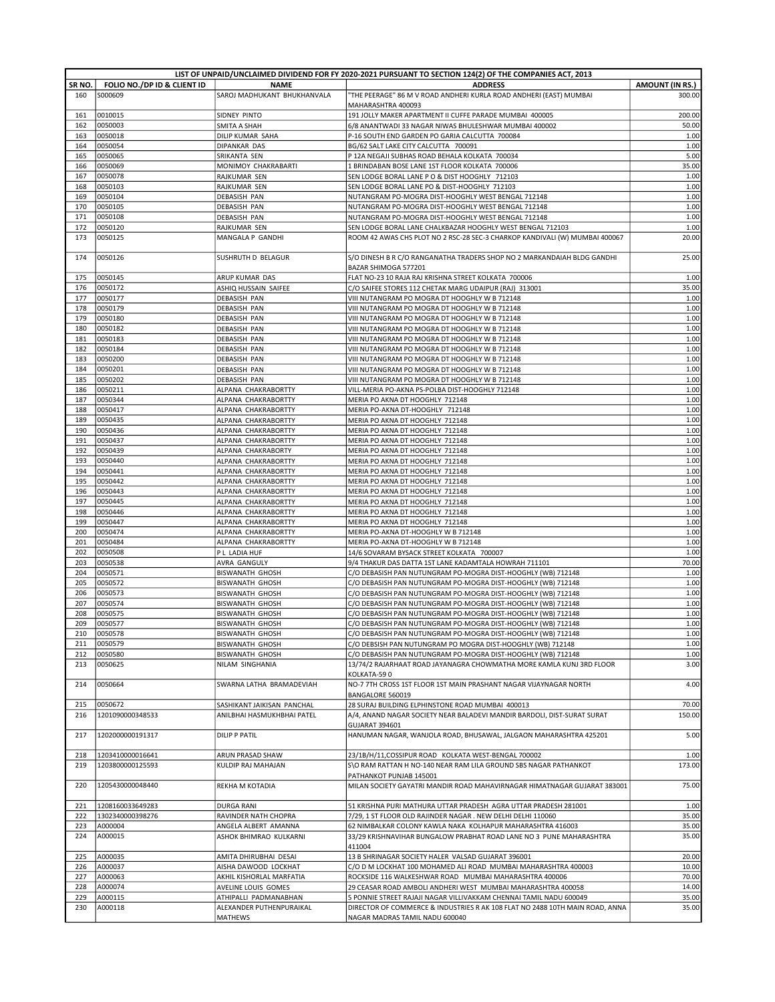|            |                             |                                  | LIST OF UNPAID/UNCLAIMED DIVIDEND FOR FY 2020-2021 PURSUANT TO SECTION 124(2) OF THE COMPANIES ACT, 2013 |                        |
|------------|-----------------------------|----------------------------------|----------------------------------------------------------------------------------------------------------|------------------------|
| SR NO.     | FOLIO NO./DP ID & CLIENT ID | <b>NAME</b>                      | <b>ADDRESS</b>                                                                                           | <b>AMOUNT (IN RS.)</b> |
| 160        | S000609                     | SAROJ MADHUKANT BHUKHANVALA      | "THE PEERAGE" 86 M V ROAD ANDHERI KURLA ROAD ANDHERI (EAST) MUMBAI                                       | 300.00                 |
|            |                             |                                  | MAHARASHTRA 400093                                                                                       |                        |
| 161        | 0010015                     | SIDNEY PINTO                     | 191 JOLLY MAKER APARTMENT II CUFFE PARADE MUMBAI 400005                                                  | 200.00                 |
| 162        | 0050003                     | SMITA A SHAH<br>DILIP KUMAR SAHA | 6/8 ANANTWADI 33 NAGAR NIWAS BHULESHWAR MUMBAI 400002                                                    | 50.00<br>1.00          |
| 163<br>164 | 0050018<br>0050054          | DIPANKAR DAS                     | P-16 SOUTH END GARDEN PO GARIA CALCUTTA 700084<br>BG/62 SALT LAKE CITY CALCUTTA 700091                   | 1.00                   |
| 165        | 0050065                     |                                  |                                                                                                          | 5.00                   |
| 166        | 0050069                     | SRIKANTA SEN                     | P 12A NEGAJI SUBHAS ROAD BEHALA KOLKATA 700034                                                           | 35.00                  |
|            |                             | MONIMOY CHAKRABARTI              | 1 BRINDABAN BOSE LANE 1ST FLOOR KOLKATA 700006                                                           |                        |
| 167        | 0050078                     | RAJKUMAR SEN                     | SEN LODGE BORAL LANE P O & DIST HOOGHLY 712103                                                           | 1.00                   |
| 168        | 0050103                     | RAJKUMAR SEN                     | SEN LODGE BORAL LANE PO & DIST-HOOGHLY 712103                                                            | 1.00                   |
| 169        | 0050104                     | <b>DEBASISH PAN</b>              | NUTANGRAM PO-MOGRA DIST-HOOGHLY WEST BENGAL 712148                                                       | 1.00                   |
| 170        | 0050105                     | <b>DEBASISH PAN</b>              | NUTANGRAM PO-MOGRA DIST-HOOGHLY WEST BENGAL 712148                                                       | 1.00                   |
| 171        | 0050108                     | <b>DEBASISH PAN</b>              | NUTANGRAM PO-MOGRA DIST-HOOGHLY WEST BENGAL 712148                                                       | 1.00                   |
| 172        | 0050120                     | RAJKUMAR SEN                     | SEN LODGE BORAL LANE CHALKBAZAR HOOGHLY WEST BENGAL 712103                                               | 1.00                   |
| 173        | 0050125                     | MANGALA P GANDHI                 | ROOM 42 AWAS CHS PLOT NO 2 RSC-28 SEC-3 CHARKOP KANDIVALI (W) MUMBAI 400067                              | 20.00                  |
|            |                             |                                  |                                                                                                          |                        |
| 174        | 0050126                     | SUSHRUTH D BELAGUR               | S/O DINESH B R C/O RANGANATHA TRADERS SHOP NO 2 MARKANDAIAH BLDG GANDHI                                  | 25.00                  |
|            |                             |                                  | BAZAR SHIMOGA 577201                                                                                     |                        |
| 175        | 0050145                     | ARUP KUMAR DAS                   | FLAT NO-23 10 RAJA RAJ KRISHNA STREET KOLKATA 700006                                                     | 1.00                   |
| 176        | 0050172                     | ASHIQ HUSSAIN SAIFEE             | C/O SAIFEE STORES 112 CHETAK MARG UDAIPUR (RAJ) 313001                                                   | 35.00                  |
| 177        | 0050177                     | <b>DEBASISH PAN</b>              | VIII NUTANGRAM PO MOGRA DT HOOGHLY W B 712148                                                            | 1.00                   |
| 178        | 0050179                     | <b>DEBASISH PAN</b>              | VIII NUTANGRAM PO MOGRA DT HOOGHLY W B 712148                                                            | 1.00                   |
| 179        | 0050180                     | DEBASISH PAN                     | VIII NUTANGRAM PO MOGRA DT HOOGHLY W B 712148                                                            | 1.00                   |
| 180        | 0050182                     | <b>DEBASISH PAN</b>              | VIII NUTANGRAM PO MOGRA DT HOOGHLY W B 712148                                                            | 1.00                   |
| 181        | 0050183                     | <b>DEBASISH PAN</b>              | VIII NUTANGRAM PO MOGRA DT HOOGHLY W B 712148                                                            | 1.00                   |
| 182        | 0050184                     | DEBASISH PAN                     | VIII NUTANGRAM PO MOGRA DT HOOGHLY W B 712148                                                            | 1.00                   |
| 183        | 0050200                     | <b>DEBASISH PAN</b>              | VIII NUTANGRAM PO MOGRA DT HOOGHLY W B 712148                                                            | 1.00                   |
| 184        | 0050201                     | <b>DEBASISH PAN</b>              | VIII NUTANGRAM PO MOGRA DT HOOGHLY W B 712148                                                            | 1.00                   |
| 185        | 0050202                     | <b>DEBASISH PAN</b>              | VIII NUTANGRAM PO MOGRA DT HOOGHLY W B 712148                                                            | 1.00                   |
| 186        | 0050211                     | ALPANA CHAKRABORTTY              | VILL-MERIA PO-AKNA PS-POLBA DIST-HOOGHLY 712148                                                          | 1.00                   |
| 187        | 0050344                     | ALPANA CHAKRABORTTY              | MERIA PO AKNA DT HOOGHLY 712148                                                                          | 1.00                   |
| 188        | 0050417                     | ALPANA CHAKRABORTTY              | MERIA PO-AKNA DT-HOOGHLY 712148                                                                          | 1.00                   |
| 189        | 0050435                     | ALPANA CHAKRABORTTY              | MERIA PO AKNA DT HOOGHLY 712148                                                                          | 1.00                   |
| 190        | 0050436                     | ALPANA CHAKRABORTTY              | MERIA PO AKNA DT HOOGHLY 712148                                                                          | 1.00                   |
| 191        | 0050437                     | ALPANA CHAKRABORTTY              | MERIA PO AKNA DT HOOGHLY 712148                                                                          | 1.00                   |
| 192        | 0050439                     | ALPANA CHAKRABORTY               | MERIA PO AKNA DT HOOGHLY 712148                                                                          | 1.00                   |
| 193        | 0050440                     | ALPANA CHAKRABORTTY              | MERIA PO AKNA DT HOOGHLY 712148                                                                          | 1.00                   |
| 194        | 0050441                     | ALPANA CHAKRABORTTY              | MERIA PO AKNA DT HOOGHLY 712148                                                                          | 1.00                   |
| 195        | 0050442                     | ALPANA CHAKRABORTTY              | MERIA PO AKNA DT HOOGHLY 712148                                                                          | 1.00                   |
| 196        | 0050443                     | ALPANA CHAKRABORTTY              | MERIA PO AKNA DT HOOGHLY 712148                                                                          | 1.00                   |
| 197        | 0050445                     | ALPANA CHAKRABORTTY              | MERIA PO AKNA DT HOOGHLY 712148                                                                          | 1.00                   |
| 198        | 0050446                     | ALPANA CHAKRABORTTY              | MERIA PO AKNA DT HOOGHLY 712148                                                                          | 1.00                   |
| 199        | 0050447                     | ALPANA CHAKRABORTTY              | MERIA PO AKNA DT HOOGHLY 712148                                                                          | 1.00                   |
| 200        | 0050474                     | ALPANA CHAKRABORTTY              | MERIA PO-AKNA DT-HOOGHLY W B 712148                                                                      | 1.00                   |
| 201        | 0050484                     | ALPANA CHAKRABORTTY              | MERIA PO-AKNA DT-HOOGHLY W B 712148                                                                      | 1.00                   |
| 202        | 0050508                     | P L LADIA HUF                    | 14/6 SOVARAM BYSACK STREET KOLKATA 700007                                                                | 1.00                   |
| 203        | 0050538                     | AVRA GANGULY                     | 9/4 THAKUR DAS DATTA 1ST LANE KADAMTALA HOWRAH 711101                                                    | 70.00                  |
| 204        | 0050571                     | <b>BISWANATH GHOSH</b>           | C/O DEBASISH PAN NUTUNGRAM PO-MOGRA DIST-HOOGHLY (WB) 712148                                             | 1.00                   |
| 205        | 0050572                     | <b>BISWANATH GHOSH</b>           | C/O DEBASISH PAN NUTUNGRAM PO-MOGRA DIST-HOOGHLY (WB) 712148                                             | 1.00                   |
| 206        | 0050573                     | <b>BISWANATH GHOSH</b>           | C/O DEBASISH PAN NUTUNGRAM PO-MOGRA DIST-HOOGHLY (WB) 712148                                             | 1.00                   |
| 207        | 0050574                     | <b>BISWANATH GHOSH</b>           | C/O DEBASISH PAN NUTUNGRAM PO-MOGRA DIST-HOOGHLY (WB) 712148                                             | 1.00                   |
| 208        | 0050575                     | <b>BISWANATH GHOSH</b>           | C/O DEBASISH PAN NUTUNGRAM PO-MOGRA DIST-HOOGHLY (WB) 712148                                             | 1.00                   |
| 209        | 0050577                     | <b>BISWANATH GHOSH</b>           | C/O DEBASISH PAN NUTUNGRAM PO-MOGRA DIST-HOOGHLY (WB) 712148                                             | 1.00                   |
| 210        | 0050578                     | <b>BISWANATH GHOSH</b>           | C/O DEBASISH PAN NUTUNGRAM PO-MOGRA DIST-HOOGHLY (WB) 712148                                             | 1.00                   |
| 211        | 0050579                     | <b>BISWANATH GHOSH</b>           | C/O DEBSISH PAN NUTUNGRAM PO MOGRA DIST-HOOGHLY (WB) 712148                                              | 1.00                   |
| 212        | 0050580                     | <b>BISWANATH GHOSH</b>           | C/O DEBASISH PAN NUTUNGRAM PO-MOGRA DIST-HOOGHLY (WB) 712148                                             | 1.00                   |
| 213        | 0050625                     | NILAM SINGHANIA                  | 13/74/2 RAJARHAAT ROAD JAYANAGRA CHOWMATHA MORE KAMLA KUNJ 3RD FLOOR                                     | 3.00                   |
|            |                             |                                  | KOLKATA-590                                                                                              |                        |
| 214        | 0050664                     | SWARNA LATHA BRAMADEVIAH         | NO-7 7TH CROSS 1ST FLOOR 1ST MAIN PRASHANT NAGAR VIJAYNAGAR NORTH                                        | 4.00                   |
|            |                             |                                  | BANGALORE 560019                                                                                         |                        |
| 215        | 0050672                     | SASHIKANT JAIKISAN PANCHAL       | 28 SURAJ BUILDING ELPHINSTONE ROAD MUMBAI 400013                                                         | 70.00                  |
| 216        | 1201090000348533            | ANILBHAI HASMUKHBHAI PATEL       | A/4, ANAND NAGAR SOCIETY NEAR BALADEVI MANDIR BARDOLI, DIST-SURAT SURAT                                  | 150.00                 |
|            |                             |                                  | <b>GUJARAT 394601</b>                                                                                    |                        |
| 217        | 1202000000191317            | <b>DILIP P PATIL</b>             | HANUMAN NAGAR, WANJOLA ROAD, BHUSAWAL, JALGAON MAHARASHTRA 425201                                        | 5.00                   |
|            |                             |                                  |                                                                                                          |                        |
| 218        | 1203410000016641            | <b>ARUN PRASAD SHAW</b>          | 23/1B/H/11, COSSIPUR ROAD KOLKATA WEST-BENGAL 700002                                                     | 1.00                   |
| 219        | 1203800000125593            | KULDIP RAJ MAHAJAN               | S\O RAM RATTAN H NO-140 NEAR RAM LILA GROUND SBS NAGAR PATHANKOT                                         | 173.00                 |
|            |                             |                                  | PATHANKOT PUNJAB 145001                                                                                  |                        |
| 220        | 1205430000048440            | REKHA M KOTADIA                  | MILAN SOCIETY GAYATRI MANDIR ROAD MAHAVIRNAGAR HIMATNAGAR GUJARAT 383001                                 | 75.00                  |
|            |                             |                                  |                                                                                                          |                        |
| 221        | 1208160033649283            | <b>DURGA RANI</b>                | 51 KRISHNA PURI MATHURA UTTAR PRADESH AGRA UTTAR PRADESH 281001                                          | 1.00                   |
| 222        | 1302340000398276            | RAVINDER NATH CHOPRA             | 7/29, 1 ST FLOOR OLD RAJINDER NAGAR . NEW DELHI DELHI 110060                                             | 35.00                  |
| 223        | A000004                     | ANGELA ALBERT AMANNA             | 62 NIMBALKAR COLONY KAWLA NAKA KOLHAPUR MAHARASHTRA 416003                                               | 35.00                  |
| 224        | A000015                     | ASHOK BHIMRAO KULKARNI           | 33/29 KRISHNAVIHAR BUNGALOW PRABHAT ROAD LANE NO 3 PUNE MAHARASHTRA                                      | 35.00                  |
|            |                             |                                  | 411004                                                                                                   |                        |
| 225        | A000035                     | AMITA DHIRUBHAI DESAI            | 13 B SHRINAGAR SOCIETY HALER VALSAD GUJARAT 396001                                                       | 20.00                  |
|            |                             |                                  |                                                                                                          |                        |
| 226        | A000037                     | AISHA DAWOOD LOCKHAT             | C/O D M LOCKHAT 100 MOHAMED ALI ROAD MUMBAI MAHARASHTRA 400003                                           | 10.00                  |
| 227        | A000063                     | AKHIL KISHORLAL MARFATIA         | ROCKSIDE 116 WALKESHWAR ROAD MUMBAI MAHARASHTRA 400006                                                   | 70.00                  |
| 228        | A000074                     | AVELINE LOUIS GOMES              | 29 CEASAR ROAD AMBOLI ANDHERI WEST MUMBAI MAHARASHTRA 400058                                             | 14.00                  |
| 229        | A000115                     | ATHIPALLI PADMANABHAN            | 5 PONNIE STREET RAJAJI NAGAR VILLIVAKKAM CHENNAI TAMIL NADU 600049                                       | 35.00                  |
| 230        | A000118                     | ALEXANDER PUTHENPURAIKAL         | DIRECTOR OF COMMERCE & INDUSTRIES R AK 108 FLAT NO 2488 10TH MAIN ROAD, ANNA                             | 35.00                  |
|            |                             | <b>MATHEWS</b>                   | NAGAR MADRAS TAMIL NADU 600040                                                                           |                        |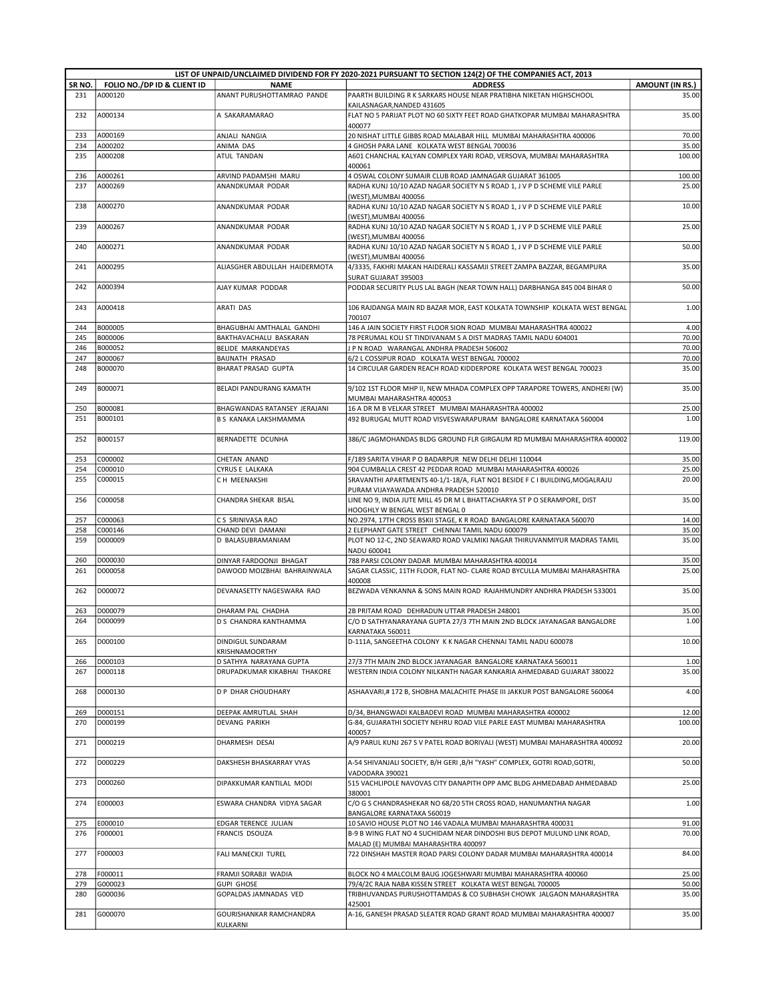|            |                             |                                                      | LIST OF UNPAID/UNCLAIMED DIVIDEND FOR FY 2020-2021 PURSUANT TO SECTION 124(2) OF THE COMPANIES ACT, 2013                          |                        |
|------------|-----------------------------|------------------------------------------------------|-----------------------------------------------------------------------------------------------------------------------------------|------------------------|
| SR NO.     | FOLIO NO./DP ID & CLIENT ID | <b>NAME</b>                                          | <b>ADDRESS</b>                                                                                                                    | <b>AMOUNT (IN RS.)</b> |
| 231        | A000120                     | ANANT PURUSHOTTAMRAO PANDE                           | PAARTH BUILDING R K SARKARS HOUSE NEAR PRATIBHA NIKETAN HIGHSCHOOL<br>KAILASNAGAR, NANDED 431605                                  | 35.00                  |
| 232        | A000134                     | A SAKARAMARAO                                        | FLAT NO 5 PARIJAT PLOT NO 60 SIXTY FEET ROAD GHATKOPAR MUMBAI MAHARASHTRA<br>400077                                               | 35.00                  |
| 233        | A000169                     | ANJALI NANGIA                                        | 20 NISHAT LITTLE GIBBS ROAD MALABAR HILL MUMBAI MAHARASHTRA 400006                                                                | 70.00                  |
| 234        | A000202                     | ANIMA DAS                                            | 4 GHOSH PARA LANE KOLKATA WEST BENGAL 700036                                                                                      | 35.00                  |
| 235        | A000208                     | <b>ATUL TANDAN</b>                                   | A601 CHANCHAL KALYAN COMPLEX YARI ROAD, VERSOVA, MUMBAI MAHARASHTRA<br>400061                                                     | 100.00                 |
| 236        | A000261                     | ARVIND PADAMSHI MARU                                 | 4 OSWAL COLONY SUMAIR CLUB ROAD JAMNAGAR GUJARAT 361005                                                                           | 100.00                 |
| 237        | A000269                     | ANANDKUMAR PODAR                                     | RADHA KUNJ 10/10 AZAD NAGAR SOCIETY N S ROAD 1, J V P D SCHEME VILE PARLE<br>(WEST), MUMBAI 400056                                | 25.00                  |
| 238        | A000270                     | ANANDKUMAR PODAR                                     | RADHA KUNJ 10/10 AZAD NAGAR SOCIETY N S ROAD 1, J V P D SCHEME VILE PARLE                                                         | 10.00                  |
| 239        | A000267                     | ANANDKUMAR PODAR                                     | (WEST), MUMBAI 400056<br>RADHA KUNJ 10/10 AZAD NAGAR SOCIETY N S ROAD 1, J V P D SCHEME VILE PARLE                                | 25.00                  |
| 240        | A000271                     | ANANDKUMAR PODAR                                     | (WEST), MUMBAI 400056<br>RADHA KUNJ 10/10 AZAD NAGAR SOCIETY N S ROAD 1, J V P D SCHEME VILE PARLE                                | 50.00                  |
| 241        | A000295                     | ALIASGHER ABDULLAH HAIDERMOTA                        | (WEST), MUMBAI 400056<br>4/3335, FAKHRI MAKAN HAIDERALI KASSAMJI STREET ZAMPA BAZZAR, BEGAMPURA                                   | 35.00                  |
| 242        | A000394                     | AJAY KUMAR PODDAR                                    | SURAT GUJARAT 395003<br>PODDAR SECURITY PLUS LAL BAGH (NEAR TOWN HALL) DARBHANGA 845 004 BIHAR 0                                  | 50.00                  |
| 243        | A000418                     | ARATI DAS                                            | 106 RAJDANGA MAIN RD BAZAR MOR, EAST KOLKATA TOWNSHIP KOLKATA WEST BENGAL                                                         | 1.00                   |
|            |                             |                                                      | 700107                                                                                                                            |                        |
| 244        | B000005                     | BHAGUBHAI AMTHALAL GANDHI                            | 146 A JAIN SOCIETY FIRST FLOOR SION ROAD MUMBAI MAHARASHTRA 400022                                                                | 4.00                   |
| 245        | B000006                     | BAKTHAVACHALU BASKARAN                               | 78 PERUMAL KOLI ST TINDIVANAM S A DIST MADRAS TAMIL NADU 604001                                                                   | 70.00                  |
| 246        | B000052                     | <b>BELIDE MARKANDEYAS</b>                            | J P N ROAD WARANGAL ANDHRA PRADESH 506002                                                                                         | 70.00                  |
| 247<br>248 | B000067<br>B000070          | <b>BAIJNATH PRASAD</b><br><b>BHARAT PRASAD GUPTA</b> | 6/2 L COSSIPUR ROAD KOLKATA WEST BENGAL 700002<br>14 CIRCULAR GARDEN REACH ROAD KIDDERPORE KOLKATA WEST BENGAL 700023             | 70.00<br>35.00         |
|            |                             |                                                      |                                                                                                                                   |                        |
| 249        | B000071                     | BELADI PANDURANG KAMATH                              | 9/102 1ST FLOOR MHP II, NEW MHADA COMPLEX OPP TARAPORE TOWERS, ANDHERI (W)<br>MUMBAI MAHARASHTRA 400053                           | 35.00                  |
| 250        | B000081                     | BHAGWANDAS RATANSEY JERAJANI                         | 16 A DR M B VELKAR STREET MUMBAI MAHARASHTRA 400002                                                                               | 25.00                  |
| 251        | B000101                     | <b>B S KANAKA LAKSHMAMMA</b>                         | 492 BURUGAL MUTT ROAD VISVESWARAPURAM BANGALORE KARNATAKA 560004                                                                  | 1.00                   |
| 252        | B000157                     | BERNADETTE DCUNHA                                    | 386/C JAGMOHANDAS BLDG GROUND FLR GIRGAUM RD MUMBAI MAHARASHTRA 400002                                                            | 119.00                 |
| 253        | C000002                     | CHETAN ANAND                                         | F/189 SARITA VIHAR P O BADARPUR NEW DELHI DELHI 110044                                                                            | 35.00                  |
| 254        | C000010                     | CYRUS E LALKAKA                                      | 904 CUMBALLA CREST 42 PEDDAR ROAD MUMBAI MAHARASHTRA 400026                                                                       | 25.00                  |
| 255        | C000015                     | C H MEENAKSHI                                        | SRAVANTHI APARTMENTS 40-1/1-18/A, FLAT NO1 BESIDE F C I BUILDING, MOGALRAJU<br>PURAM VIJAYAWADA ANDHRA PRADESH 520010             | 20.00                  |
| 256        | C000058                     | CHANDRA SHEKAR BISAL                                 | LINE NO 9, INDIA JUTE MILL 45 DR M L BHATTACHARYA ST P O SERAMPORE, DIST<br>HOOGHLY W BENGAL WEST BENGAL 0                        | 35.00                  |
| 257        | C000063                     | C S SRINIVASA RAO                                    | NO.2974, 17TH CROSS BSKII STAGE, K R ROAD BANGALORE KARNATAKA 560070                                                              | 14.00                  |
| 258<br>259 | C000146<br>D000009          | CHAND DEVI DAMANI<br>D BALASUBRAMANIAM               | 2 ELEPHANT GATE STREET CHENNAI TAMIL NADU 600079<br>PLOT NO 12-C, 2ND SEAWARD ROAD VALMIKI NAGAR THIRUVANMIYUR MADRAS TAMIL       | 35.00<br>35.00         |
| 260        | D000030                     | DINYAR FARDOONJI BHAGAT                              | NADU 600041<br>788 PARSI COLONY DADAR MUMBAI MAHARASHTRA 400014                                                                   | 35.00                  |
| 261        | D000058                     | DAWOOD MOIZBHAI BAHRAINWALA                          | SAGAR CLASSIC. 11TH FLOOR. FLAT NO- CLARE ROAD BYCULLA MUMBAI MAHARASHTRA                                                         | 25.00                  |
| 262        | D000072                     | DEVANASETTY NAGESWARA RAO                            | 400008<br>BEZWADA VENKANNA & SONS MAIN ROAD RAJAHMUNDRY ANDHRA PRADESH 533001                                                     | 35.00                  |
| 263        | D000079                     |                                                      |                                                                                                                                   | 35.00                  |
| 264        | D000099                     | DHARAM PAL CHADHA<br>D S CHANDRA KANTHAMMA           | 2B PRITAM ROAD DEHRADUN UTTAR PRADESH 248001<br>C/O D SATHYANARAYANA GUPTA 27/3 7TH MAIN 2ND BLOCK JAYANAGAR BANGALORE            | 1.00                   |
|            |                             |                                                      | KARNATAKA 560011                                                                                                                  |                        |
| 265        | D000100                     | DINDIGUL SUNDARAM<br><b>KRISHNAMOORTHY</b>           | D-111A, SANGEETHA COLONY K K NAGAR CHENNAI TAMIL NADU 600078                                                                      | 10.00                  |
| 266        | D000103                     | D SATHYA NARAYANA GUPTA                              | 27/3 7TH MAIN 2ND BLOCK JAYANAGAR BANGALORE KARNATAKA 560011                                                                      | 1.00                   |
| 267        | D000118                     | DRUPADKUMAR KIKABHAI THAKORE                         | WESTERN INDIA COLONY NILKANTH NAGAR KANKARIA AHMEDABAD GUJARAT 380022                                                             | 35.00                  |
| 268        | D000130                     | D P DHAR CHOUDHARY                                   | ASHAAVARI,# 172 B, SHOBHA MALACHITE PHASE III JAKKUR POST BANGALORE 560064                                                        | 4.00                   |
| 269<br>270 | D000151<br>D000199          | DEEPAK AMRUTLAL SHAH<br><b>DEVANG PARIKH</b>         | D/34, BHANGWADI KALBADEVI ROAD MUMBAI MAHARASHTRA 400002<br>G-84, GUJARATHI SOCIETY NEHRU ROAD VILE PARLE EAST MUMBAI MAHARASHTRA | 12.00<br>100.00        |
| 271        | D000219                     | DHARMESH DESAI                                       | 400057<br>A/9 PARUL KUNJ 267 S V PATEL ROAD BORIVALI (WEST) MUMBAI MAHARASHTRA 400092                                             | 20.00                  |
| 272        | D000229                     | DAKSHESH BHASKARRAY VYAS                             | A-54 SHIVANJALI SOCIETY, B/H GERI , B/H "YASH" COMPLEX, GOTRI ROAD, GOTRI,                                                        | 50.00                  |
| 273        | D000260                     | DIPAKKUMAR KANTILAL MODI                             | VADODARA 390021<br>515 VACHLIPOLE NAVOVAS CITY DANAPITH OPP AMC BLDG AHMEDABAD AHMEDABAD                                          | 25.00                  |
| 274        | E000003                     | ESWARA CHANDRA VIDYA SAGAR                           | 380001<br>C/O G S CHANDRASHEKAR NO 68/20 5TH CROSS ROAD, HANUMANTHA NAGAR                                                         | 1.00                   |
|            |                             |                                                      | BANGALORE KARNATAKA 560019                                                                                                        |                        |
| 275        | E000010                     | EDGAR TERENCE JULIAN                                 | 10 SAVIO HOUSE PLOT NO 146 VADALA MUMBAI MAHARASHTRA 400031                                                                       | 91.00                  |
| 276        | F000001                     | FRANCIS DSOUZA                                       | B-9 B WING FLAT NO 4 SUCHIDAM NEAR DINDOSHI BUS DEPOT MULUND LINK ROAD,<br>MALAD (E) MUMBAI MAHARASHTRA 400097                    | 70.00                  |
| 277        | F000003                     | FALI MANECKJI TUREL                                  | 722 DINSHAH MASTER ROAD PARSI COLONY DADAR MUMBAI MAHARASHTRA 400014                                                              | 84.00                  |
| 278        | F000011                     | FRAMJI SORABJI WADIA                                 | BLOCK NO 4 MALCOLM BAUG JOGESHWARI MUMBAI MAHARASHTRA 400060                                                                      | 25.00                  |
| 279        | G000023                     | <b>GUPI GHOSE</b>                                    | 79/4/2C RAJA NABA KISSEN STREET KOLKATA WEST BENGAL 700005                                                                        | 50.00                  |
| 280        | G000036                     | GOPALDAS JAMNADAS VED                                | TRIBHUVANDAS PURUSHOTTAMDAS & CO SUBHASH CHOWK JALGAON MAHARASHTRA<br>425001                                                      | 35.00                  |
| 281        | G000070                     | GOURISHANKAR RAMCHANDRA<br>KULKARNI                  | A-16, GANESH PRASAD SLEATER ROAD GRANT ROAD MUMBAI MAHARASHTRA 400007                                                             | 35.00                  |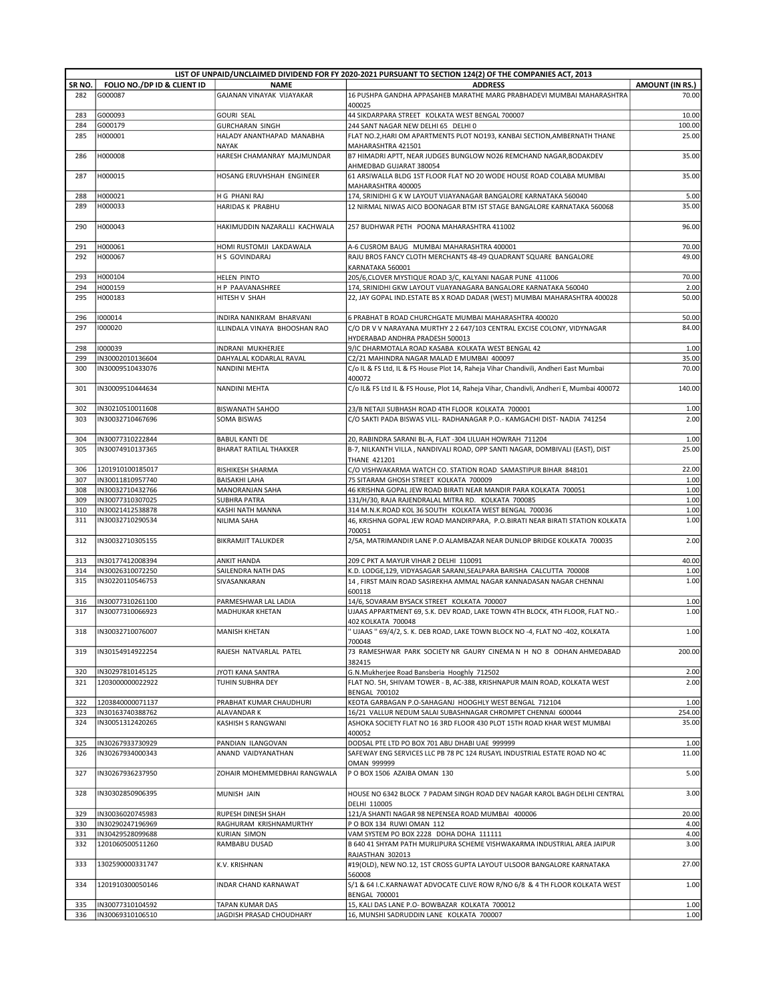|        |                             |                                                           | LIST OF UNPAID/UNCLAIMED DIVIDEND FOR FY 2020-2021 PURSUANT TO SECTION 124(2) OF THE COMPANIES ACT, 2013 |                        |
|--------|-----------------------------|-----------------------------------------------------------|----------------------------------------------------------------------------------------------------------|------------------------|
| SR NO. | FOLIO NO./DP ID & CLIENT ID | <b>NAME</b>                                               | <b>ADDRESS</b>                                                                                           | <b>AMOUNT (IN RS.)</b> |
| 282    | G000087                     | GAJANAN VINAYAK VIJAYAKAR                                 | 16 PUSHPA GANDHA APPASAHEB MARATHE MARG PRABHADEVI MUMBAI MAHARASHTRA<br>400025                          | 70.00                  |
| 283    | G000093                     | <b>GOURI SEAL</b>                                         | 44 SIKDARPARA STREET KOLKATA WEST BENGAL 700007                                                          | 10.00                  |
| 284    | G000179                     | <b>GURCHARAN SINGH</b>                                    | 244 SANT NAGAR NEW DELHI 65 DELHI 0                                                                      | 100.00                 |
| 285    | H000001                     | HALADY ANANTHAPAD MANABHA<br>NAYAK                        | FLAT NO.2, HARI OM APARTMENTS PLOT NO193, KANBAI SECTION, AMBERNATH THANE<br>MAHARASHTRA 421501          | 25.00                  |
| 286    | H000008                     | HARESH CHAMANRAY MAJMUNDAR                                | B7 HIMADRI APTT, NEAR JUDGES BUNGLOW NO26 REMCHAND NAGAR, BODAKDEV<br>AHMEDBAD GUJARAT 380054            | 35.00                  |
| 287    | H000015                     | HOSANG ERUVHSHAH ENGINEER                                 | 61 ARSIWALLA BLDG 1ST FLOOR FLAT NO 20 WODE HOUSE ROAD COLABA MUMBAI<br>MAHARASHTRA 400005               | 35.00                  |
| 288    | H000021                     | H G PHANI RAJ                                             | 174, SRINIDHI G K W LAYOUT VIJAYANAGAR BANGALORE KARNATAKA 560040                                        | 5.00                   |
| 289    | H000033                     | <b>HARIDAS K PRABHU</b>                                   | 12 NIRMAL NIWAS AICO BOONAGAR BTM IST STAGE BANGALORE KARNATAKA 560068                                   | 35.00                  |
| 290    | H000043                     | HAKIMUDDIN NAZARALLI KACHWALA                             | 257 BUDHWAR PETH POONA MAHARASHTRA 411002                                                                | 96.00                  |
| 291    | H000061                     | HOMI RUSTOMJI LAKDAWALA                                   | A-6 CUSROM BAUG MUMBAI MAHARASHTRA 400001                                                                | 70.00                  |
| 292    | H000067                     | H S GOVINDARAJ                                            | RAJU BROS FANCY CLOTH MERCHANTS 48-49 QUADRANT SQUARE BANGALORE                                          | 49.00                  |
| 293    | H000104                     | <b>HELEN PINTO</b>                                        | KARNATAKA 560001<br>205/6,CLOVER MYSTIQUE ROAD 3/C, KALYANI NAGAR PUNE 411006                            | 70.00                  |
| 294    | H000159                     | H P PAAVANASHREE                                          | 174, SRINIDHI GKW LAYOUT VIJAYANAGARA BANGALORE KARNATAKA 560040                                         | 2.00                   |
| 295    | H000183                     | HITESH V SHAH                                             | 22, JAY GOPAL IND. ESTATE BS X ROAD DADAR (WEST) MUMBAI MAHARASHTRA 400028                               | 50.00                  |
| 296    | 1000014                     |                                                           | 6 PRABHAT B ROAD CHURCHGATE MUMBAI MAHARASHTRA 400020                                                    | 50.00                  |
| 297    | 1000020                     | INDIRA NANIKRAM BHARVANI<br>ILLINDALA VINAYA BHOOSHAN RAO | C/O DR V V NARAYANA MURTHY 2 2 647/103 CENTRAL EXCISE COLONY, VIDYNAGAR                                  | 84.00                  |
|        |                             |                                                           | HYDERABAD ANDHRA PRADESH 500013                                                                          |                        |
| 298    | 1000039                     | INDRANI MUKHERJEE                                         | 9/IC DHARMOTALA ROAD KASABA KOLKATA WEST BENGAL 42                                                       | 1.00                   |
| 299    | IN30002010136604            | DAHYALAL KODARLAL RAVAL                                   | C2/21 MAHINDRA NAGAR MALAD E MUMBAI 400097                                                               | 35.00                  |
| 300    | IN30009510433076            | NANDINI MEHTA                                             | C/o IL & FS Ltd, IL & FS House Plot 14, Raheja Vihar Chandivili, Andheri East Mumbai<br>400072           | 70.00                  |
| 301    | IN30009510444634            | NANDINI MEHTA                                             | C/o IL& FS Ltd IL & FS House, Plot 14, Raheja Vihar, Chandivli, Andheri E, Mumbai 400072                 | 140.00                 |
| 302    | IN30210510011608            | <b>BISWANATH SAHOO</b>                                    | 23/B NETAJI SUBHASH ROAD 4TH FLOOR KOLKATA 700001                                                        | 1.00                   |
| 303    | IN30032710467696            | <b>SOMA BISWAS</b>                                        | C/O SAKTI PADA BISWAS VILL- RADHANAGAR P.O.- KAMGACHI DIST- NADIA 741254                                 | 2.00                   |
| 304    | IN30077310222844            | <b>BABUL KANTI DE</b>                                     | 20, RABINDRA SARANI BL-A, FLAT -304 LILUAH HOWRAH 711204                                                 | 1.00                   |
| 305    | IN30074910137365            | <b>BHARAT RATILAL THAKKER</b>                             | B-7, NILKANTH VILLA, NANDIVALI ROAD, OPP SANTI NAGAR, DOMBIVALI (EAST), DIST<br><b>THANE 421201</b>      | 25.00                  |
| 306    | 1201910100185017            | RISHIKESH SHARMA                                          | C/O VISHWAKARMA WATCH CO. STATION ROAD SAMASTIPUR BIHAR 848101                                           | 22.00                  |
| 307    | IN30011810957740            | <b>BAISAKHI LAHA</b>                                      | 75 SITARAM GHOSH STREET KOLKATA 700009                                                                   | 1.00                   |
| 308    | IN30032710432766            | MANORANJAN SAHA                                           | 46 KRISHNA GOPAL JEW ROAD BIRATI NEAR MANDIR PARA KOLKATA 700051                                         | 1.00                   |
| 309    | IN30077310307025            | <b>SUBHRA PATRA</b>                                       | 131/H/30, RAJA RAJENDRALAL MITRA RD. KOLKATA 700085                                                      | 1.00                   |
| 310    | IN30021412538878            | KASHI NATH MANNA                                          | 314 M.N.K.ROAD KOL 36 SOUTH KOLKATA WEST BENGAL 700036                                                   | 1.00                   |
| 311    | IN30032710290534            | NILIMA SAHA                                               | 46, KRISHNA GOPAL JEW ROAD MANDIRPARA, P.O.BIRATI NEAR BIRATI STATION KOLKATA<br>700051                  | 1.00                   |
| 312    | IN30032710305155            | <b>BIKRAMJIT TALUKDER</b>                                 | 2/5A, MATRIMANDIR LANE P.O ALAMBAZAR NEAR DUNLOP BRIDGE KOLKATA 700035                                   | 2.00                   |
| 313    | IN30177412008394            | <b>ANKIT HANDA</b>                                        | 209 C PKT A MAYUR VIHAR 2 DELHI 110091                                                                   | 40.00                  |
| 314    | IN30026310072250            | SAILENDRA NATH DAS                                        | K.D. LODGE, 129, VIDYASAGAR SARANI, SEALPARA BARISHA CALCUTTA 700008                                     | 1.00                   |
| 315    | IN30220110546753            | SIVASANKARAN                                              | 14, FIRST MAIN ROAD SASIREKHA AMMAL NAGAR KANNADASAN NAGAR CHENNAI<br>600118                             | 1.00                   |
| 316    | IN30077310261100            | PARMESHWAR LAL LADIA                                      | 14/6, SOVARAM BYSACK STREET KOLKATA 700007                                                               | 1.00                   |
| 317    | IN30077310066923            | MADHUKAR KHETAN                                           | UJAAS APPARTMENT 69, S.K. DEV ROAD, LAKE TOWN 4TH BLOCK, 4TH FLOOR, FLAT NO.-<br>402 KOLKATA 700048      | 1.00                   |
| 318    | IN30032710076007            | <b>MANISH KHETAN</b>                                      | "UJAAS " 69/4/2, S. K. DEB ROAD, LAKE TOWN BLOCK NO -4, FLAT NO -402, KOLKATA<br>700048                  | 1.00                   |
| 319    | IN30154914922254            | RAJESH NATVARLAL PATEL                                    | 73 RAMESHWAR PARK SOCIETY NR GAURY CINEMA N H NO 8 ODHAN AHMEDABAD<br>382415                             | 200.00                 |
| 320    | IN30297810145125            | JYOTI KANA SANTRA                                         | G.N.Mukherjee Road Bansberia Hooghly 712502                                                              | 2.00                   |
| 321    | 1203000000022922            | TUHIN SUBHRA DEY                                          | FLAT NO. 5H, SHIVAM TOWER - B, AC-388, KRISHNAPUR MAIN ROAD, KOLKATA WEST                                | 2.00                   |
|        |                             |                                                           | <b>BENGAL 700102</b>                                                                                     |                        |
| 322    | 1203840000071137            | PRABHAT KUMAR CHAUDHURI                                   | KEOTA GARBAGAN P.O-SAHAGANJ HOOGHLY WEST BENGAL 712104                                                   | 1.00                   |
| 323    | IN30163740388762            | ALAVANDAR K                                               | 16/21 VALLUR NEDUM SALAI SUBASHNAGAR CHROMPET CHENNAI 600044                                             | 254.00                 |
| 324    | IN30051312420265            | KASHISH S RANGWANI                                        | ASHOKA SOCIETY FLAT NO 16 3RD FLOOR 430 PLOT 15TH ROAD KHAR WEST MUMBAI<br>400052                        | 35.00                  |
| 325    | IN30267933730929            | PANDIAN ILANGOVAN                                         | DODSAL PTE LTD PO BOX 701 ABU DHABI UAE 999999                                                           | 1.00                   |
| 326    | IN30267934000343            | ANAND VAIDYANATHAN                                        | SAFEWAY ENG SERVICES LLC PB 78 PC 124 RUSAYL INDUSTRIAL ESTATE ROAD NO 4C<br>OMAN 999999                 | 11.00                  |
| 327    | IN30267936237950            | ZOHAIR MOHEMMEDBHAI RANGWALA                              | PO BOX 1506 AZAIBA OMAN 130                                                                              | 5.00                   |
| 328    | IN30302850906395            | MUNISH JAIN                                               | HOUSE NO 6342 BLOCK 7 PADAM SINGH ROAD DEV NAGAR KAROL BAGH DELHI CENTRAL<br>DELHI 110005                | 3.00                   |
| 329    | IN30036020745983            | RUPESH DINESH SHAH                                        | 121/A SHANTI NAGAR 98 NEPENSEA ROAD MUMBAI 400006                                                        | 20.00                  |
| 330    | IN30290247196969            | RAGHURAM KRISHNAMURTHY                                    | PO BOX 134 RUWI OMAN 112                                                                                 | 4.00                   |
| 331    | IN30429528099688            | <b>KURIAN SIMON</b>                                       | VAM SYSTEM PO BOX 2228 DOHA DOHA 111111                                                                  | 4.00                   |
| 332    | 1201060500511260            | RAMBABU DUSAD                                             | B 640 41 SHYAM PATH MURLIPURA SCHEME VISHWAKARMA INDUSTRIAL AREA JAIPUR<br>RAJASTHAN 302013              | 3.00                   |
| 333    | 1302590000331747            | K.V. KRISHNAN                                             | #19(OLD), NEW NO.12, 1ST CROSS GUPTA LAYOUT ULSOOR BANGALORE KARNATAKA<br>560008                         | 27.00                  |
| 334    | 1201910300050146            | INDAR CHAND KARNAWAT                                      | S/1 & 64 I.C.KARNAWAT ADVOCATE CLIVE ROW R/NO 6/8 & 4 TH FLOOR KOLKATA WEST<br><b>BENGAL 700001</b>      | 1.00                   |
| 335    | IN30077310104592            | TAPAN KUMAR DAS                                           | 15, KALI DAS LANE P.O- BOWBAZAR KOLKATA 700012                                                           | 1.00                   |
| 336    | IN30069310106510            | JAGDISH PRASAD CHOUDHARY                                  | 16, MUNSHI SADRUDDIN LANE KOLKATA 700007                                                                 | 1.00                   |